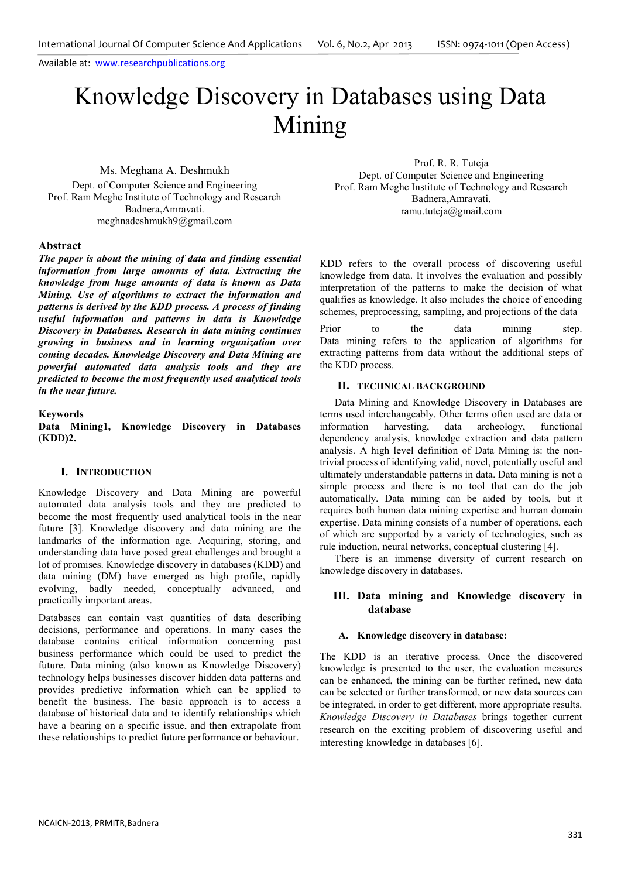# Knowledge Discovery in Databases using Data Mining

Ms. Meghana A. Deshmukh Dept. of Computer Science and Engineering Prof. Ram Meghe Institute of Technology and Research Badnera,Amravati. meghnadeshmukh9@gmail.com

## **Abstract**

*The paper is about the mining of data and finding essential information from large amounts of data. Extracting the knowledge from huge amounts of data is known as Data Mining. Use of algorithms to extract the information and patterns is derived by the KDD process. A process of finding useful information and patterns in data is Knowledge Discovery in Databases. Research in data mining continues growing in business and in learning organization over coming decades. Knowledge Discovery and Data Mining are powerful automated data analysis tools and they are predicted to become the most frequently used analytical tools in the near future.* 

#### **Keywords**

**Data Mining1, Knowledge Discovery in Databases (KDD)2.** 

#### **I. INTRODUCTION**

Knowledge Discovery and Data Mining are powerful automated data analysis tools and they are predicted to become the most frequently used analytical tools in the near future [3]. Knowledge discovery and data mining are the landmarks of the information age. Acquiring, storing, and understanding data have posed great challenges and brought a lot of promises. Knowledge discovery in databases (KDD) and data mining (DM) have emerged as high profile, rapidly evolving, badly needed, conceptually advanced, and practically important areas.

Databases can contain vast quantities of data describing decisions, performance and operations. In many cases the database contains critical information concerning past business performance which could be used to predict the future. Data mining (also known as Knowledge Discovery) technology helps businesses discover hidden data patterns and provides predictive information which can be applied to benefit the business. The basic approach is to access a database of historical data and to identify relationships which have a bearing on a specific issue, and then extrapolate from these relationships to predict future performance or behaviour.

Prof. R. R. Tuteja Dept. of Computer Science and Engineering Prof. Ram Meghe Institute of Technology and Research Badnera,Amravati. ramu.tuteja@gmail.com

KDD refers to the overall process of discovering useful knowledge from data. It involves the evaluation and possibly interpretation of the patterns to make the decision of what qualifies as knowledge. It also includes the choice of encoding schemes, preprocessing, sampling, and projections of the data

Prior to the data mining step. Data mining refers to the application of algorithms for extracting patterns from data without the additional steps of the KDD process.

#### **II. TECHNICAL BACKGROUND**

Data Mining and Knowledge Discovery in Databases are terms used interchangeably. Other terms often used are data or information harvesting, data archeology, functional dependency analysis, knowledge extraction and data pattern analysis. A high level definition of Data Mining is: the nontrivial process of identifying valid, novel, potentially useful and ultimately understandable patterns in data. Data mining is not a simple process and there is no tool that can do the job automatically. Data mining can be aided by tools, but it requires both human data mining expertise and human domain expertise. Data mining consists of a number of operations, each of which are supported by a variety of technologies, such as rule induction, neural networks, conceptual clustering [4].

There is an immense diversity of current research on knowledge discovery in databases.

# **III. Data mining and Knowledge discovery in database**

#### **A. Knowledge discovery in database:**

The KDD is an iterative process. Once the discovered knowledge is presented to the user, the evaluation measures can be enhanced, the mining can be further refined, new data can be selected or further transformed, or new data sources can be integrated, in order to get different, more appropriate results. *Knowledge Discovery in Databases* brings together current research on the exciting problem of discovering useful and interesting knowledge in databases [6].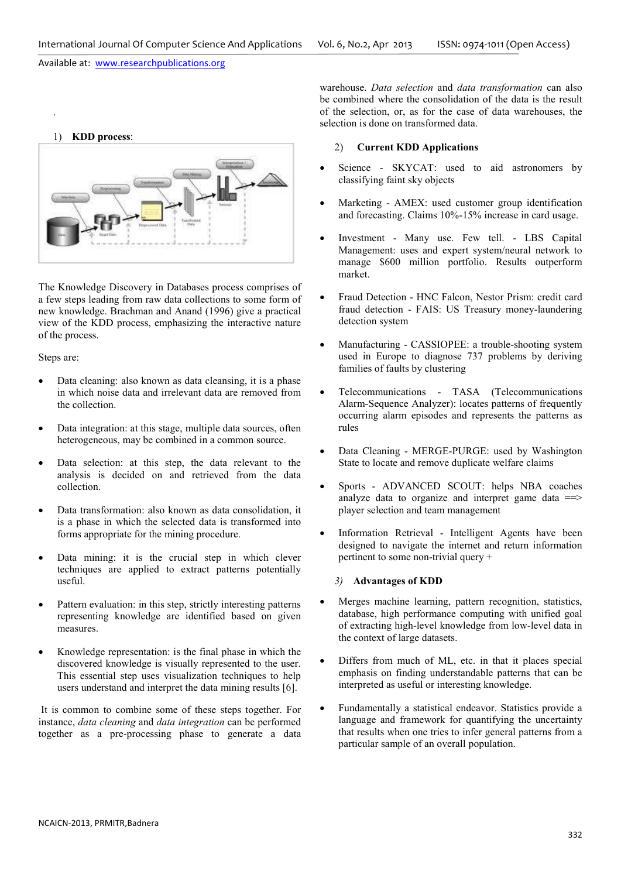### 1) **KDD process**:

.



The Knowledge Discovery in Databases process comprises of a few steps leading from raw data collections to some form of new knowledge. Brachman and Anand (1996) give a practical view of the KDD process, emphasizing the interactive nature of the process.

Steps are:

- Data cleaning: also known as data cleansing, it is a phase in which noise data and irrelevant data are removed from the collection.
- Data integration: at this stage, multiple data sources, often heterogeneous, may be combined in a common source.
- Data selection: at this step, the data relevant to the analysis is decided on and retrieved from the data collection.
- Data transformation: also known as data consolidation, it is a phase in which the selected data is transformed into forms appropriate for the mining procedure.
- Data mining: it is the crucial step in which clever techniques are applied to extract patterns potentially useful.
- Pattern evaluation: in this step, strictly interesting patterns representing knowledge are identified based on given measures.
- Knowledge representation: is the final phase in which the discovered knowledge is visually represented to the user. This essential step uses visualization techniques to help users understand and interpret the data mining results [6].

 It is common to combine some of these steps together. For instance, *data cleaning* and *data integration* can be performed together as a pre-processing phase to generate a data

warehouse. *Data selection* and *data transformation* can also be combined where the consolidation of the data is the result of the selection, or, as for the case of data warehouses, the selection is done on transformed data.

## 2) **Current KDD Applications**

- Science SKYCAT: used to aid astronomers by classifying faint sky objects
- Marketing AMEX: used customer group identification and forecasting. Claims 10%-15% increase in card usage.
- Investment Many use. Few tell. LBS Capital Management: uses and expert system/neural network to manage \$600 million portfolio. Results outperform market.
- Fraud Detection HNC Falcon, Nestor Prism: credit card fraud detection - FAIS: US Treasury money-laundering detection system
- Manufacturing CASSIOPEE: a trouble-shooting system used in Europe to diagnose 737 problems by deriving families of faults by clustering
- Telecommunications TASA (Telecommunications Alarm-Sequence Analyzer): locates patterns of frequently occurring alarm episodes and represents the patterns as rules
- Data Cleaning MERGE-PURGE: used by Washington State to locate and remove duplicate welfare claims
- Sports ADVANCED SCOUT: helps NBA coaches analyze data to organize and interpret game data  $==$ player selection and team management
- Information Retrieval Intelligent Agents have been designed to navigate the internet and return information pertinent to some non-trivial query +

# *3)* **Advantages of KDD**

- Merges machine learning, pattern recognition, statistics, database, high performance computing with unified goal of extracting high-level knowledge from low-level data in the context of large datasets.
- Differs from much of ML, etc. in that it places special emphasis on finding understandable patterns that can be interpreted as useful or interesting knowledge.
- Fundamentally a statistical endeavor. Statistics provide a language and framework for quantifying the uncertainty that results when one tries to infer general patterns from a particular sample of an overall population.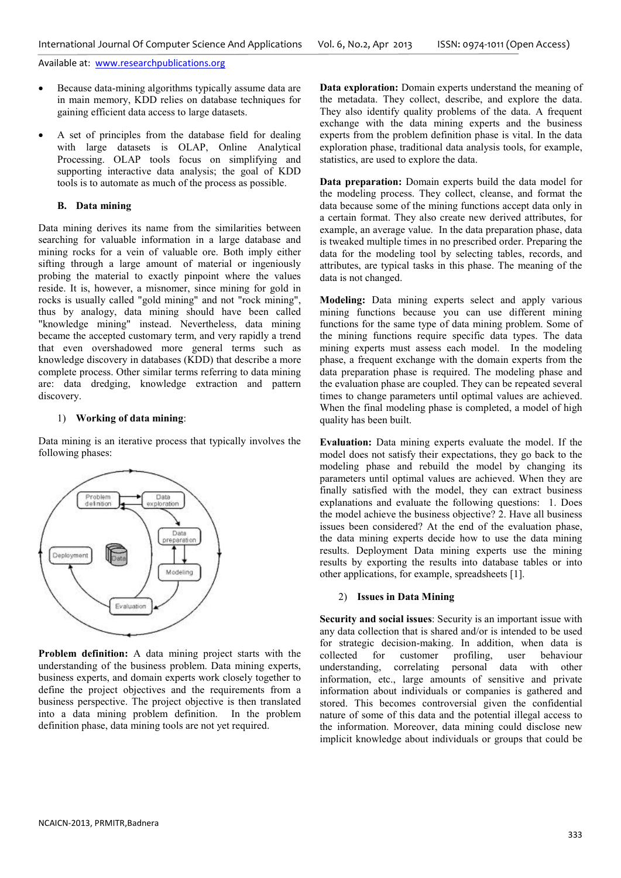- Because data-mining algorithms typically assume data are in main memory, KDD relies on database techniques for gaining efficient data access to large datasets.
- A set of principles from the database field for dealing with large datasets is OLAP, Online Analytical Processing. OLAP tools focus on simplifying and supporting interactive data analysis; the goal of KDD tools is to automate as much of the process as possible.

#### **B. Data mining**

Data mining derives its name from the similarities between searching for valuable information in a large database and mining rocks for a vein of valuable ore. Both imply either sifting through a large amount of material or ingeniously probing the material to exactly pinpoint where the values reside. It is, however, a misnomer, since mining for gold in rocks is usually called "gold mining" and not "rock mining", thus by analogy, data mining should have been called "knowledge mining" instead. Nevertheless, data mining became the accepted customary term, and very rapidly a trend that even overshadowed more general terms such as knowledge discovery in databases (KDD) that describe a more complete process. Other similar terms referring to data mining are: data dredging, knowledge extraction and pattern discovery.

## 1) **Working of data mining**:

Data mining is an iterative process that typically involves the following phases:



**Problem definition:** A data mining project starts with the understanding of the business problem. Data mining experts, business experts, and domain experts work closely together to define the project objectives and the requirements from a business perspective. The project objective is then translated into a data mining problem definition. In the problem definition phase, data mining tools are not yet required.

**Data exploration:** Domain experts understand the meaning of the metadata. They collect, describe, and explore the data. They also identify quality problems of the data. A frequent exchange with the data mining experts and the business experts from the problem definition phase is vital. In the data exploration phase, traditional data analysis tools, for example, statistics, are used to explore the data.

**Data preparation:** Domain experts build the data model for the modeling process. They collect, cleanse, and format the data because some of the mining functions accept data only in a certain format. They also create new derived attributes, for example, an average value. In the data preparation phase, data is tweaked multiple times in no prescribed order. Preparing the data for the modeling tool by selecting tables, records, and attributes, are typical tasks in this phase. The meaning of the data is not changed.

**Modeling:** Data mining experts select and apply various mining functions because you can use different mining functions for the same type of data mining problem. Some of the mining functions require specific data types. The data mining experts must assess each model. In the modeling phase, a frequent exchange with the domain experts from the data preparation phase is required. The modeling phase and the evaluation phase are coupled. They can be repeated several times to change parameters until optimal values are achieved. When the final modeling phase is completed, a model of high quality has been built.

**Evaluation:** Data mining experts evaluate the model. If the model does not satisfy their expectations, they go back to the modeling phase and rebuild the model by changing its parameters until optimal values are achieved. When they are finally satisfied with the model, they can extract business explanations and evaluate the following questions: 1. Does the model achieve the business objective? 2. Have all business issues been considered? At the end of the evaluation phase, the data mining experts decide how to use the data mining results. Deployment Data mining experts use the mining results by exporting the results into database tables or into other applications, for example, spreadsheets [1].

#### 2) **Issues in Data Mining**

**Security and social issues**: Security is an important issue with any data collection that is shared and/or is intended to be used for strategic decision-making. In addition, when data is collected for customer profiling, user behaviour understanding, correlating personal data with other information, etc., large amounts of sensitive and private information about individuals or companies is gathered and stored. This becomes controversial given the confidential nature of some of this data and the potential illegal access to the information. Moreover, data mining could disclose new implicit knowledge about individuals or groups that could be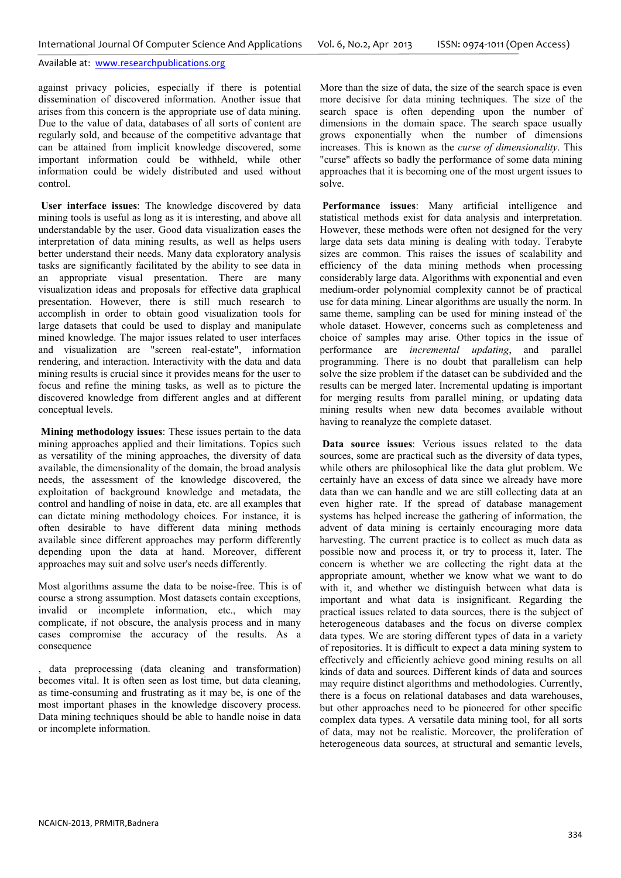against privacy policies, especially if there is potential dissemination of discovered information. Another issue that arises from this concern is the appropriate use of data mining. Due to the value of data, databases of all sorts of content are regularly sold, and because of the competitive advantage that can be attained from implicit knowledge discovered, some important information could be withheld, while other information could be widely distributed and used without control.

**User interface issues**: The knowledge discovered by data mining tools is useful as long as it is interesting, and above all understandable by the user. Good data visualization eases the interpretation of data mining results, as well as helps users better understand their needs. Many data exploratory analysis tasks are significantly facilitated by the ability to see data in an appropriate visual presentation. There are many visualization ideas and proposals for effective data graphical presentation. However, there is still much research to accomplish in order to obtain good visualization tools for large datasets that could be used to display and manipulate mined knowledge. The major issues related to user interfaces and visualization are "screen real-estate", information rendering, and interaction. Interactivity with the data and data mining results is crucial since it provides means for the user to focus and refine the mining tasks, as well as to picture the discovered knowledge from different angles and at different conceptual levels.

**Mining methodology issues**: These issues pertain to the data mining approaches applied and their limitations. Topics such as versatility of the mining approaches, the diversity of data available, the dimensionality of the domain, the broad analysis needs, the assessment of the knowledge discovered, the exploitation of background knowledge and metadata, the control and handling of noise in data, etc. are all examples that can dictate mining methodology choices. For instance, it is often desirable to have different data mining methods available since different approaches may perform differently depending upon the data at hand. Moreover, different approaches may suit and solve user's needs differently.

Most algorithms assume the data to be noise-free. This is of course a strong assumption. Most datasets contain exceptions, invalid or incomplete information, etc., which may complicate, if not obscure, the analysis process and in many cases compromise the accuracy of the results. As a consequence

data preprocessing (data cleaning and transformation) becomes vital. It is often seen as lost time, but data cleaning, as time-consuming and frustrating as it may be, is one of the most important phases in the knowledge discovery process. Data mining techniques should be able to handle noise in data or incomplete information.

More than the size of data, the size of the search space is even more decisive for data mining techniques. The size of the search space is often depending upon the number of dimensions in the domain space. The search space usually grows exponentially when the number of dimensions increases. This is known as the *curse of dimensionality*. This "curse" affects so badly the performance of some data mining approaches that it is becoming one of the most urgent issues to solve.

**Performance issues**: Many artificial intelligence and statistical methods exist for data analysis and interpretation. However, these methods were often not designed for the very large data sets data mining is dealing with today. Terabyte sizes are common. This raises the issues of scalability and efficiency of the data mining methods when processing considerably large data. Algorithms with exponential and even medium-order polynomial complexity cannot be of practical use for data mining. Linear algorithms are usually the norm. In same theme, sampling can be used for mining instead of the whole dataset. However, concerns such as completeness and choice of samples may arise. Other topics in the issue of performance are *incremental updating*, and parallel programming. There is no doubt that parallelism can help solve the size problem if the dataset can be subdivided and the results can be merged later. Incremental updating is important for merging results from parallel mining, or updating data mining results when new data becomes available without having to reanalyze the complete dataset.

**Data source issues**: Verious issues related to the data sources, some are practical such as the diversity of data types, while others are philosophical like the data glut problem. We certainly have an excess of data since we already have more data than we can handle and we are still collecting data at an even higher rate. If the spread of database management systems has helped increase the gathering of information, the advent of data mining is certainly encouraging more data harvesting. The current practice is to collect as much data as possible now and process it, or try to process it, later. The concern is whether we are collecting the right data at the appropriate amount, whether we know what we want to do with it, and whether we distinguish between what data is important and what data is insignificant. Regarding the practical issues related to data sources, there is the subject of heterogeneous databases and the focus on diverse complex data types. We are storing different types of data in a variety of repositories. It is difficult to expect a data mining system to effectively and efficiently achieve good mining results on all kinds of data and sources. Different kinds of data and sources may require distinct algorithms and methodologies. Currently, there is a focus on relational databases and data warehouses, but other approaches need to be pioneered for other specific complex data types. A versatile data mining tool, for all sorts of data, may not be realistic. Moreover, the proliferation of heterogeneous data sources, at structural and semantic levels,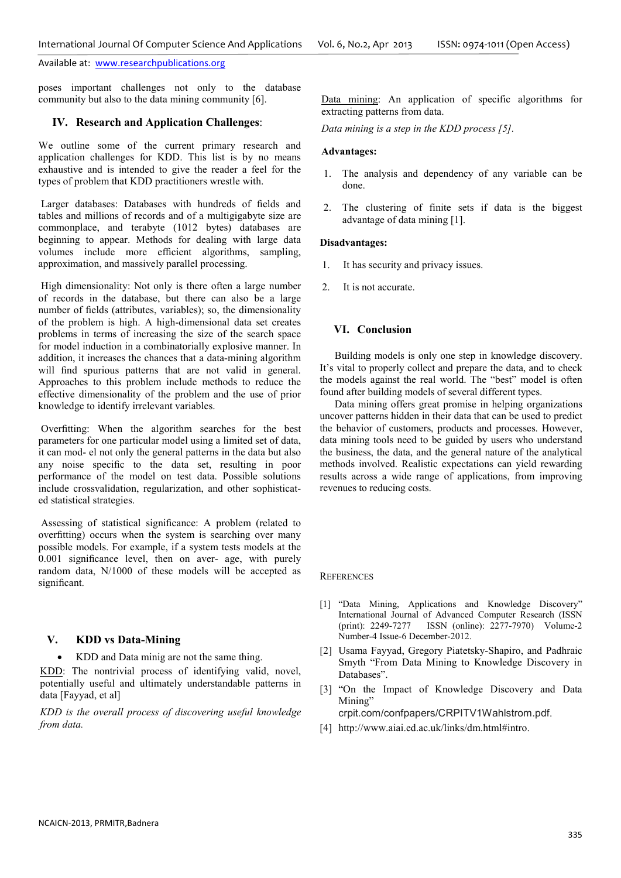poses important challenges not only to the database community but also to the data mining community [6].

# **IV. Research and Application Challenges**:

We outline some of the current primary research and application challenges for KDD. This list is by no means exhaustive and is intended to give the reader a feel for the types of problem that KDD practitioners wrestle with.

 Larger databases: Databases with hundreds of fields and tables and millions of records and of a multigigabyte size are commonplace, and terabyte (1012 bytes) databases are beginning to appear. Methods for dealing with large data volumes include more efficient algorithms, sampling, approximation, and massively parallel processing.

 High dimensionality: Not only is there often a large number of records in the database, but there can also be a large number of fields (attributes, variables); so, the dimensionality of the problem is high. A high-dimensional data set creates problems in terms of increasing the size of the search space for model induction in a combinatorially explosive manner. In addition, it increases the chances that a data-mining algorithm will find spurious patterns that are not valid in general. Approaches to this problem include methods to reduce the effective dimensionality of the problem and the use of prior knowledge to identify irrelevant variables.

 Overfitting: When the algorithm searches for the best parameters for one particular model using a limited set of data, it can mod- el not only the general patterns in the data but also any noise specific to the data set, resulting in poor performance of the model on test data. Possible solutions include crossvalidation, regularization, and other sophisticated statistical strategies.

 Assessing of statistical significance: A problem (related to overfitting) occurs when the system is searching over many possible models. For example, if a system tests models at the 0.001 significance level, then on aver- age, with purely random data, N/1000 of these models will be accepted as significant.

# **V. KDD vs Data-Mining**

• KDD and Data minig are not the same thing.

KDD: The nontrivial process of identifying valid, novel, potentially useful and ultimately understandable patterns in data [Fayyad, et al]

*KDD is the overall process of discovering useful knowledge from data.* 

Data mining: An application of specific algorithms for extracting patterns from data.

*Data mining is a step in the KDD process [5].* 

#### **Advantages:**

- 1. The analysis and dependency of any variable can be done.
- 2. The clustering of finite sets if data is the biggest advantage of data mining [1].

#### **Disadvantages:**

- 1. It has security and privacy issues.
- 2. It is not accurate.

## **VI. Conclusion**

Building models is only one step in knowledge discovery. It's vital to properly collect and prepare the data, and to check the models against the real world. The "best" model is often found after building models of several different types.

Data mining offers great promise in helping organizations uncover patterns hidden in their data that can be used to predict the behavior of customers, products and processes. However, data mining tools need to be guided by users who understand the business, the data, and the general nature of the analytical methods involved. Realistic expectations can yield rewarding results across a wide range of applications, from improving revenues to reducing costs.

#### **REFERENCES**

- [1] "Data Mining, Applications and Knowledge Discovery" International Journal of Advanced Computer Research (ISSN (print): 2249-7277 ISSN (online): 2277-7970) Volume-2 Number-4 Issue-6 December-2012.
- [2] Usama Fayyad, Gregory Piatetsky-Shapiro, and Padhraic Smyth "From Data Mining to Knowledge Discovery in Databases".
- [3] "On the Impact of Knowledge Discovery and Data Mining"

crpit.com/confpapers/CRPITV1Wahlstrom.pdf.

[4] http://www.aiai.ed.ac.uk/links/dm.html#intro.